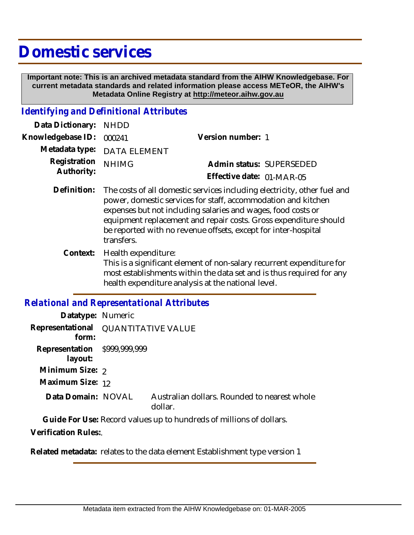# **Domestic services**

 **Important note: This is an archived metadata standard from the AIHW Knowledgebase. For current metadata standards and related information please access METeOR, the AIHW's Metadata Online Registry at http://meteor.aihw.gov.au**

#### *Identifying and Definitional Attributes*

| Data Dictionary: NHDD      |                             |                           |                          |
|----------------------------|-----------------------------|---------------------------|--------------------------|
| Knowledgebase ID: 000241   |                             | Version number: 1         |                          |
|                            | Metadata type: DATA ELEMENT |                           |                          |
| Registration<br>Authority: | <b>NHIMG</b>                |                           | Admin status: SUPERSEDED |
|                            |                             | Effective date: 01-MAR-05 |                          |
|                            |                             |                           |                          |

- Definition: The costs of all domestic services including electricity, other fuel and power, domestic services for staff, accommodation and kitchen expenses but not including salaries and wages, food costs or equipment replacement and repair costs. Gross expenditure should be reported with no revenue offsets, except for inter-hospital transfers.
	- Health expenditure: This is a significant element of non-salary recurrent expenditure for most establishments within the data set and is thus required for any health expenditure analysis at the national level. **Context:**

### *Relational and Representational Attributes*

| Datatype: Numeric                       |                                     |                                                         |  |
|-----------------------------------------|-------------------------------------|---------------------------------------------------------|--|
| form:                                   | Representational QUANTITATIVE VALUE |                                                         |  |
| Representation \$999,999,999<br>layout: |                                     |                                                         |  |
| Minimum Size: 2                         |                                     |                                                         |  |
| Maximum Size: 12                        |                                     |                                                         |  |
| Data Domain: NOVAL                      |                                     | Australian dollars. Rounded to nearest whole<br>dollar. |  |
|                                         |                                     |                                                         |  |

**Guide For Use:** Record values up to hundreds of millions of dollars.

**Verification Rules:**.

**Related metadata:** relates to the data element Establishment type version 1